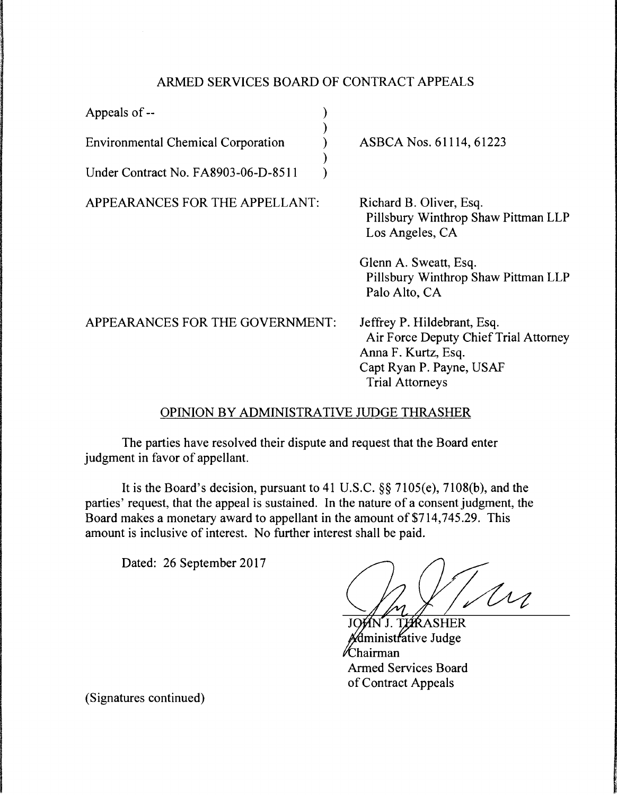## ARMED SERVICES BOARD OF CONTRACT APPEALS

| Appeals of $-$                              |                                                                                                                                                   |
|---------------------------------------------|---------------------------------------------------------------------------------------------------------------------------------------------------|
| <b>Environmental Chemical Corporation</b>   | ASBCA Nos. 61114, 61223                                                                                                                           |
| Under Contract No. FA8903-06-D-8511         |                                                                                                                                                   |
| APPEARANCES FOR THE APPELLANT:              | Richard B. Oliver, Esq.<br>Pillsbury Winthrop Shaw Pittman LLP<br>Los Angeles, CA                                                                 |
|                                             | Glenn A. Sweatt, Esq.<br>Pillsbury Winthrop Shaw Pittman LLP<br>Palo Alto, CA                                                                     |
| APPEARANCES FOR THE GOVERNMENT:             | Jeffrey P. Hildebrant, Esq.<br>Air Force Deputy Chief Trial Attorney<br>Anna F. Kurtz, Esq.<br>Capt Ryan P. Payne, USAF<br><b>Trial Attorneys</b> |
| ODINION BY A DMINISTRATIVE II IDGE THRASHER |                                                                                                                                                   |

## OPINION BY ADMINISTRATIVE JUDGE

The parties have resolved their dispute and request that the Board enter judgment in favor of appellant.

It is the Board's decision, pursuant to 41 U.S.C. §§ 7105(e), 7108(b), and the parties' request, that the appeal is sustained. In the nature of a consent judgment, the Board makes a monetary award to appellant in the amount of \$714,745.29. This amount is inclusive of interest. No further interest shall be paid.

Dated: 26 September 2017

.<br>Un

**TARASHER** iinistrative Judge ⁄Chairman **Armed Services Board** of Contract Appeals

(Signatures continued)